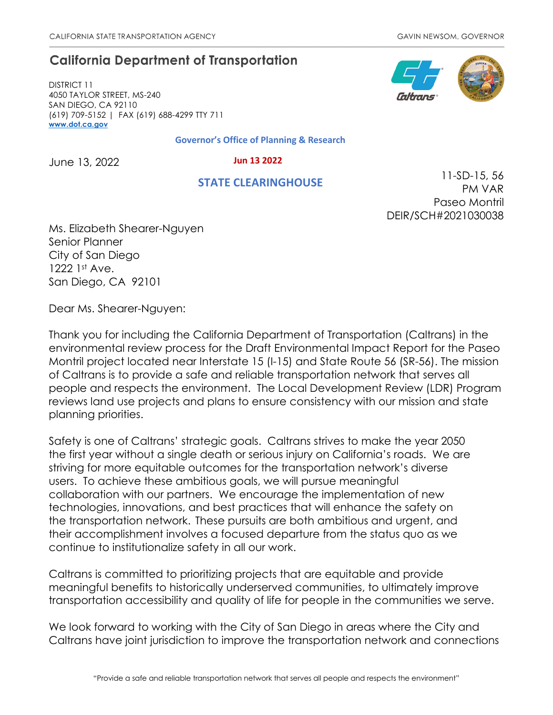# **California Department of Transportation**

DISTRICT 11 4050 TAYLOR STREET, MS-240 SAN DIEGO, CA 92110 (619) 709-5152 | FAX (619) 688-4299 TTY 711 **[www.dot.ca.gov](http://www.dot.ca.gov/)**

#### **Governor's Office of Planning & Research**

June 13, 2022

 **Jun 13 2022**

## **STATE CLEARINGHOUSE**



11-SD-15, 56 PM VAR Paseo Montril DEIR/SCH#2021030038

Ms. Elizabeth Shearer-Nguyen Senior Planner City of San Diego 1222 1st Ave. San Diego, CA 92101

Dear Ms. Shearer-Nguyen:

Thank you for including the California Department of Transportation (Caltrans) in the environmental review process for the Draft Environmental Impact Report for the Paseo Montril project located near Interstate 15 (I-15) and State Route 56 (SR-56). The mission of Caltrans is to provide a safe and reliable transportation network that serves all people and respects the environment. The Local Development Review (LDR) Program reviews land use projects and plans to ensure consistency with our mission and state planning priorities.

Safety is one of Caltrans' strategic goals. Caltrans strives to make the year 2050 the first year without a single death or serious injury on California's roads. We are striving for more equitable outcomes for the transportation network's diverse users. To achieve these ambitious goals, we will pursue meaningful collaboration with our partners. We encourage the implementation of new technologies, innovations, and best practices that will enhance the safety on the transportation network. These pursuits are both ambitious and urgent, and their accomplishment involves a focused departure from the status quo as we continue to institutionalize safety in all our work.

Caltrans is committed to prioritizing projects that are equitable and provide meaningful benefits to historically underserved communities, to ultimately improve transportation accessibility and quality of life for people in the communities we serve.

We look forward to working with the City of San Diego in areas where the City and Caltrans have joint jurisdiction to improve the transportation network and connections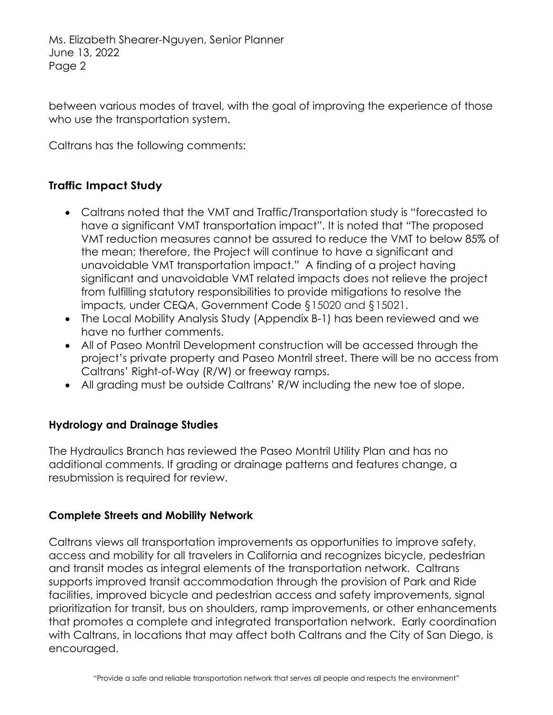Ms. Elizabeth Shearer-Nguyen, Senior Planner June 13, 2022 Page 2

between various modes of travel, with the goal of improving the experience of those who use the transportation system.

Caltrans has the following comments:

## **Traffic Impact Study**

- Caltrans noted that the VMT and Traffic/Transportation study is "forecasted to have a significant VMT transportation impact". It is noted that "The proposed VMT reduction measures cannot be assured to reduce the VMT to below 85% of the mean; therefore, the Project will continue to have a significant and unavoidable VMT transportation impact." A finding of a project having significant and unavoidable VMT related impacts does not relieve the project from fulfilling statutory responsibilities to provide mitigations to resolve the impacts, under CEQA, Government Code §15020 and §15021.
- The Local Mobility Analysis Study (Appendix B-1) has been reviewed and we have no further comments.
- All of Paseo Montril Development construction will be accessed through the project's private property and Paseo Montril street. There will be no access from Caltrans' Right-of-Way (R/W) or freeway ramps.
- All grading must be outside Caltrans' R/W including the new toe of slope.

## **Hydrology and Drainage Studies**

The Hydraulics Branch has reviewed the Paseo Montril Utility Plan and has no additional comments. If grading or drainage patterns and features change, a resubmission is required for review.

### **Complete Streets and Mobility Network**

Caltrans views all transportation improvements as opportunities to improve safety, access and mobility for all travelers in California and recognizes bicycle, pedestrian and transit modes as integral elements of the transportation network. Caltrans supports improved transit accommodation through the provision of Park and Ride facilities, improved bicycle and pedestrian access and safety improvements, signal prioritization for transit, bus on shoulders, ramp improvements, or other enhancements that promotes a complete and integrated transportation network. Early coordination with Caltrans, in locations that may affect both Caltrans and the City of San Diego, is encouraged.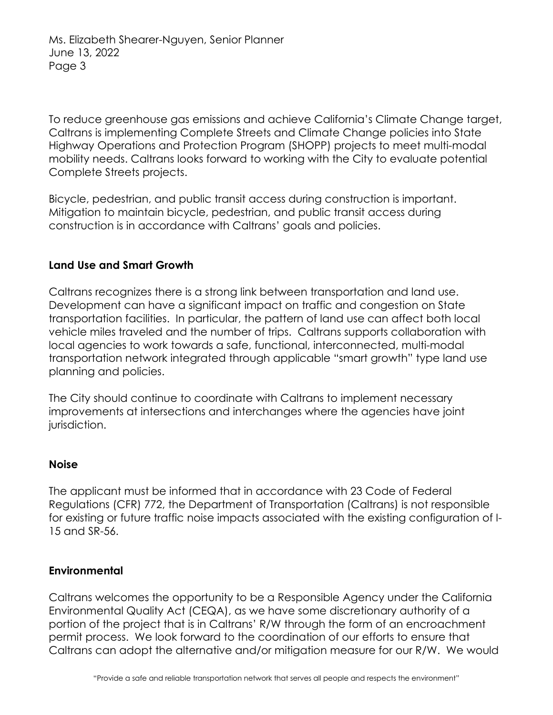To reduce greenhouse gas emissions and achieve California's Climate Change target, Caltrans is implementing Complete Streets and Climate Change policies into State Highway Operations and Protection Program (SHOPP) projects to meet multi-modal mobility needs. Caltrans looks forward to working with the City to evaluate potential Complete Streets projects.

Bicycle, pedestrian, and public transit access during construction is important. Mitigation to maintain bicycle, pedestrian, and public transit access during construction is in accordance with Caltrans' goals and policies.

### **Land Use and Smart Growth**

Caltrans recognizes there is a strong link between transportation and land use. Development can have a significant impact on traffic and congestion on State transportation facilities. In particular, the pattern of land use can affect both local vehicle miles traveled and the number of trips. Caltrans supports collaboration with local agencies to work towards a safe, functional, interconnected, multi-modal transportation network integrated through applicable "smart growth" type land use planning and policies.

The City should continue to coordinate with Caltrans to implement necessary improvements at intersections and interchanges where the agencies have joint jurisdiction.

### **Noise**

The applicant must be informed that in accordance with 23 Code of Federal Regulations (CFR) 772, the Department of Transportation (Caltrans) is not responsible for existing or future traffic noise impacts associated with the existing configuration of I-15 and SR-56.

### **Environmental**

Caltrans welcomes the opportunity to be a Responsible Agency under the California Environmental Quality Act (CEQA), as we have some discretionary authority of a portion of the project that is in Caltrans' R/W through the form of an encroachment permit process. We look forward to the coordination of our efforts to ensure that Caltrans can adopt the alternative and/or mitigation measure for our R/W. We would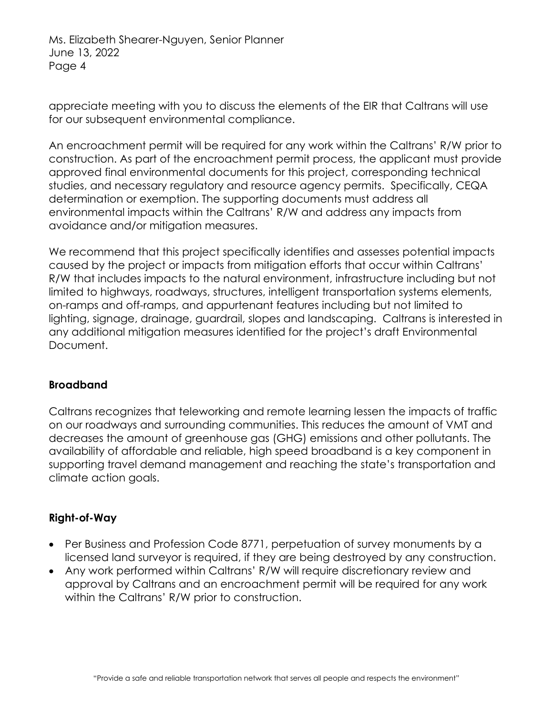Ms. Elizabeth Shearer-Nguyen, Senior Planner June 13, 2022 Page 4

appreciate meeting with you to discuss the elements of the EIR that Caltrans will use for our subsequent environmental compliance.

An encroachment permit will be required for any work within the Caltrans' R/W prior to construction. As part of the encroachment permit process, the applicant must provide approved final environmental documents for this project, corresponding technical studies, and necessary regulatory and resource agency permits. Specifically, CEQA determination or exemption. The supporting documents must address all environmental impacts within the Caltrans' R/W and address any impacts from avoidance and/or mitigation measures.

We recommend that this project specifically identifies and assesses potential impacts caused by the project or impacts from mitigation efforts that occur within Caltrans' R/W that includes impacts to the natural environment, infrastructure including but not limited to highways, roadways, structures, intelligent transportation systems elements, on-ramps and off-ramps, and appurtenant features including but not limited to lighting, signage, drainage, guardrail, slopes and landscaping. Caltrans is interested in any additional mitigation measures identified for the project's draft Environmental Document.

### **Broadband**

Caltrans recognizes that teleworking and remote learning lessen the impacts of traffic on our roadways and surrounding communities. This reduces the amount of VMT and decreases the amount of greenhouse gas (GHG) emissions and other pollutants. The availability of affordable and reliable, high speed broadband is a key component in supporting travel demand management and reaching the state's transportation and climate action goals.

## **Right-of-Way**

- Per Business and Profession Code 8771, perpetuation of survey monuments by a licensed land surveyor is required, if they are being destroyed by any construction.
- Any work performed within Caltrans' R/W will require discretionary review and approval by Caltrans and an encroachment permit will be required for any work within the Caltrans' R/W prior to construction.